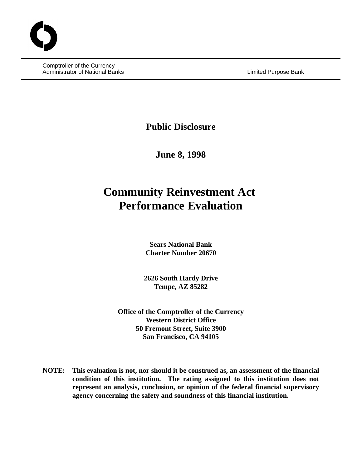Comptroller of the Currency Administrator of National Banks **Limited Purpose Bank** Limited Purpose Bank

**Public Disclosure**

**June 8, 1998**

# **Community Reinvestment Act Performance Evaluation**

**Sears National Bank Charter Number 20670**

**2626 South Hardy Drive Tempe, AZ 85282**

**Office of the Comptroller of the Currency Western District Office 50 Fremont Street, Suite 3900 San Francisco, CA 94105**

**NOTE: This evaluation is not, nor should it be construed as, an assessment of the financial condition of this institution. The rating assigned to this institution does not represent an analysis, conclusion, or opinion of the federal financial supervisory agency concerning the safety and soundness of this financial institution.**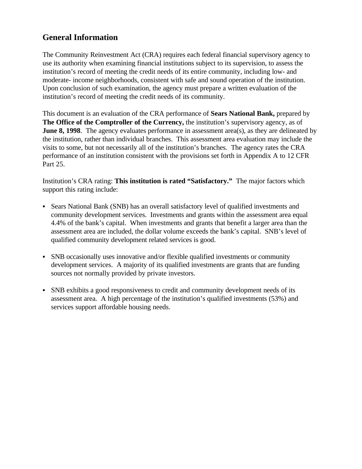# **General Information**

The Community Reinvestment Act (CRA) requires each federal financial supervisory agency to use its authority when examining financial institutions subject to its supervision, to assess the institution's record of meeting the credit needs of its entire community, including low- and moderate- income neighborhoods, consistent with safe and sound operation of the institution. Upon conclusion of such examination, the agency must prepare a written evaluation of the institution's record of meeting the credit needs of its community.

This document is an evaluation of the CRA performance of **Sears National Bank,** prepared by **The Office of the Comptroller of the Currency,** the institution's supervisory agency, as of **June 8, 1998**. The agency evaluates performance in assessment area(s), as they are delineated by the institution, rather than individual branches. This assessment area evaluation may include the visits to some, but not necessarily all of the institution's branches. The agency rates the CRA performance of an institution consistent with the provisions set forth in Appendix A to 12 CFR Part 25.

Institution's CRA rating: **This institution is rated "Satisfactory."** The major factors which support this rating include:

- Sears National Bank (SNB) has an overall satisfactory level of qualified investments and community development services. Investments and grants within the assessment area equal 4.4% of the bank's capital. When investments and grants that benefit a larger area than the assessment area are included, the dollar volume exceeds the bank's capital. SNB's level of qualified community development related services is good.
- SNB occasionally uses innovative and/or flexible qualified investments or community development services. A majority of its qualified investments are grants that are funding sources not normally provided by private investors.
- SNB exhibits a good responsiveness to credit and community development needs of its assessment area. A high percentage of the institution's qualified investments (53%) and services support affordable housing needs.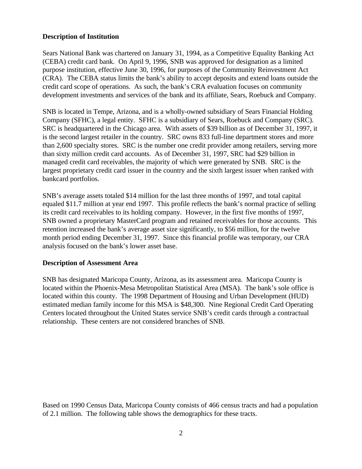#### **Description of Institution**

Sears National Bank was chartered on January 31, 1994, as a Competitive Equality Banking Act (CEBA) credit card bank. On April 9, 1996, SNB was approved for designation as a limited purpose institution, effective June 30, 1996, for purposes of the Community Reinvestment Act (CRA). The CEBA status limits the bank's ability to accept deposits and extend loans outside the credit card scope of operations. As such, the bank's CRA evaluation focuses on community development investments and services of the bank and its affiliate, Sears, Roebuck and Company.

SNB is located in Tempe, Arizona, and is a wholly-owned subsidiary of Sears Financial Holding Company (SFHC), a legal entity. SFHC is a subsidiary of Sears, Roebuck and Company (SRC). SRC is headquartered in the Chicago area. With assets of \$39 billion as of December 31, 1997, it is the second largest retailer in the country. SRC owns 833 full-line department stores and more than 2,600 specialty stores. SRC is the number one credit provider among retailers, serving more than sixty million credit card accounts. As of December 31, 1997, SRC had \$29 billion in managed credit card receivables, the majority of which were generated by SNB. SRC is the largest proprietary credit card issuer in the country and the sixth largest issuer when ranked with bankcard portfolios.

SNB's average assets totaled \$14 million for the last three months of 1997, and total capital equaled \$11.7 million at year end 1997. This profile reflects the bank's normal practice of selling its credit card receivables to its holding company. However, in the first five months of 1997, SNB owned a proprietary MasterCard program and retained receivables for those accounts. This retention increased the bank's average asset size significantly, to \$56 million, for the twelve month period ending December 31, 1997. Since this financial profile was temporary, our CRA analysis focused on the bank's lower asset base.

#### **Description of Assessment Area**

SNB has designated Maricopa County, Arizona, as its assessment area. Maricopa County is located within the Phoenix-Mesa Metropolitan Statistical Area (MSA). The bank's sole office is located within this county. The 1998 Department of Housing and Urban Development (HUD) estimated median family income for this MSA is \$48,300. Nine Regional Credit Card Operating Centers located throughout the United States service SNB's credit cards through a contractual relationship. These centers are not considered branches of SNB.

Based on 1990 Census Data, Maricopa County consists of 466 census tracts and had a population of 2.1 million. The following table shows the demographics for these tracts.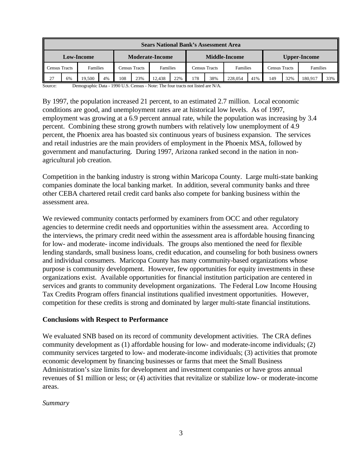| <b>Sears National Bank's Assessment Area</b> |    |          |    |                        |     |          |     |                      |     |          |     |                      |     |          |     |
|----------------------------------------------|----|----------|----|------------------------|-----|----------|-----|----------------------|-----|----------|-----|----------------------|-----|----------|-----|
| <b>Low-Income</b>                            |    |          |    | <b>Moderate-Income</b> |     |          |     | <b>Middle-Income</b> |     |          |     | <b>Upper-Income</b>  |     |          |     |
| Census Tracts                                |    | Families |    | Census Tracts          |     | Families |     | <b>Census Tracts</b> |     | Families |     | <b>Census Tracts</b> |     | Families |     |
| 27                                           | 6% | 19.500   | 4% | 108                    | 23% | 12.438   | 22% | 178                  | 38% | 228,054  | 41% | 149                  | 32% | 180.917  | 33% |

Source: Demographic Data - 1990 U.S. Census - Note: The four tracts not listed are N/A.

By 1997, the population increased 21 percent, to an estimated 2.7 million. Local economic conditions are good, and unemployment rates are at historical low levels. As of 1997, employment was growing at a 6.9 percent annual rate, while the population was increasing by 3.4 percent. Combining these strong growth numbers with relatively low unemployment of 4.9 percent, the Phoenix area has boasted six continuous years of business expansion. The services and retail industries are the main providers of employment in the Phoenix MSA, followed by government and manufacturing. During 1997, Arizona ranked second in the nation in nonagricultural job creation.

Competition in the banking industry is strong within Maricopa County. Large multi-state banking companies dominate the local banking market. In addition, several community banks and three other CEBA chartered retail credit card banks also compete for banking business within the assessment area.

We reviewed community contacts performed by examiners from OCC and other regulatory agencies to determine credit needs and opportunities within the assessment area. According to the interviews, the primary credit need within the assessment area is affordable housing financing for low- and moderate- income individuals. The groups also mentioned the need for flexible lending standards, small business loans, credit education, and counseling for both business owners and individual consumers. Maricopa County has many community-based organizations whose purpose is community development. However, few opportunities for equity investments in these organizations exist. Available opportunities for financial institution participation are centered in services and grants to community development organizations. The Federal Low Income Housing Tax Credits Program offers financial institutions qualified investment opportunities. However, competition for these credits is strong and dominated by larger multi-state financial institutions.

#### **Conclusions with Respect to Performance**

We evaluated SNB based on its record of community development activities. The CRA defines community development as (1) affordable housing for low- and moderate-income individuals; (2) community services targeted to low- and moderate-income individuals; (3) activities that promote economic development by financing businesses or farms that meet the Small Business Administration's size limits for development and investment companies or have gross annual revenues of \$1 million or less; or (4) activities that revitalize or stabilize low- or moderate-income areas.

*Summary*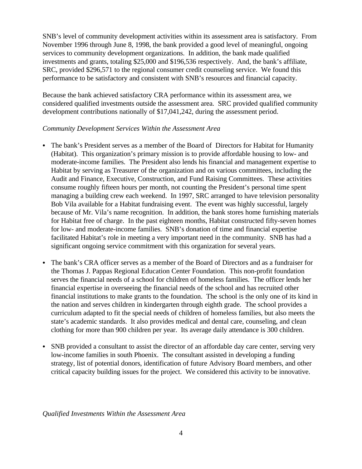SNB's level of community development activities within its assessment area is satisfactory. From November 1996 through June 8, 1998, the bank provided a good level of meaningful, ongoing services to community development organizations. In addition, the bank made qualified investments and grants, totaling \$25,000 and \$196,536 respectively. And, the bank's affiliate, SRC, provided \$296,571 to the regional consumer credit counseling service. We found this performance to be satisfactory and consistent with SNB's resources and financial capacity.

Because the bank achieved satisfactory CRA performance within its assessment area, we considered qualified investments outside the assessment area. SRC provided qualified community development contributions nationally of \$17,041,242, during the assessment period.

### *Community Development Services Within the Assessment Area*

- The bank's President serves as a member of the Board of Directors for Habitat for Humanity (Habitat). This organization's primary mission is to provide affordable housing to low- and moderate-income families. The President also lends his financial and management expertise to Habitat by serving as Treasurer of the organization and on various committees, including the Audit and Finance, Executive, Construction, and Fund Raising Committees. These activities consume roughly fifteen hours per month, not counting the President's personal time spent managing a building crew each weekend. In 1997, SRC arranged to have television personality Bob Vila available for a Habitat fundraising event. The event was highly successful, largely because of Mr. Vila's name recognition. In addition, the bank stores home furnishing materials for Habitat free of charge. In the past eighteen months, Habitat constructed fifty-seven homes for low- and moderate-income families. SNB's donation of time and financial expertise facilitated Habitat's role in meeting a very important need in the community. SNB has had a significant ongoing service commitment with this organization for several years.
- The bank's CRA officer serves as a member of the Board of Directors and as a fundraiser for the Thomas J. Pappas Regional Education Center Foundation. This non-profit foundation serves the financial needs of a school for children of homeless families. The officer lends her financial expertise in overseeing the financial needs of the school and has recruited other financial institutions to make grants to the foundation. The school is the only one of its kind in the nation and serves children in kindergarten through eighth grade. The school provides a curriculum adapted to fit the special needs of children of homeless families, but also meets the state's academic standards. It also provides medical and dental care, counseling, and clean clothing for more than 900 children per year. Its average daily attendance is 300 children.
- SNB provided a consultant to assist the director of an affordable day care center, serving very low-income families in south Phoenix. The consultant assisted in developing a funding strategy, list of potential donors, identification of future Advisory Board members, and other critical capacity building issues for the project. We considered this activity to be innovative.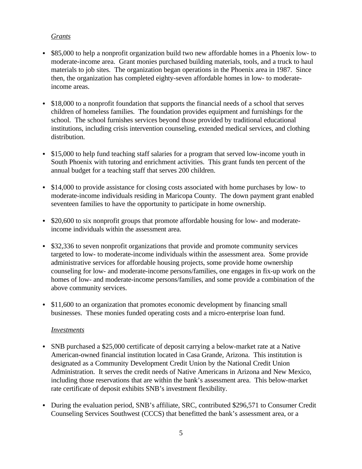## *Grants*

- \$85,000 to help a nonprofit organization build two new affordable homes in a Phoenix low- to moderate-income area. Grant monies purchased building materials, tools, and a truck to haul materials to job sites. The organization began operations in the Phoenix area in 1987. Since then, the organization has completed eighty-seven affordable homes in low- to moderateincome areas.
- \$18,000 to a nonprofit foundation that supports the financial needs of a school that serves children of homeless families. The foundation provides equipment and furnishings for the school. The school furnishes services beyond those provided by traditional educational institutions, including crisis intervention counseling, extended medical services, and clothing distribution.
- \$15,000 to help fund teaching staff salaries for a program that served low-income youth in South Phoenix with tutoring and enrichment activities. This grant funds ten percent of the annual budget for a teaching staff that serves 200 children.
- \$14,000 to provide assistance for closing costs associated with home purchases by low- to moderate-income individuals residing in Maricopa County. The down payment grant enabled seventeen families to have the opportunity to participate in home ownership.
- \$20,600 to six nonprofit groups that promote affordable housing for low- and moderateincome individuals within the assessment area.
- \$32,336 to seven nonprofit organizations that provide and promote community services targeted to low- to moderate-income individuals within the assessment area. Some provide administrative services for affordable housing projects, some provide home ownership counseling for low- and moderate-income persons/families, one engages in fix-up work on the homes of low- and moderate-income persons/families, and some provide a combination of the above community services.
- \$11,600 to an organization that promotes economic development by financing small businesses. These monies funded operating costs and a micro-enterprise loan fund.

# *Investments*

- SNB purchased a \$25,000 certificate of deposit carrying a below-market rate at a Native American-owned financial institution located in Casa Grande, Arizona. This institution is designated as a Community Development Credit Union by the National Credit Union Administration. It serves the credit needs of Native Americans in Arizona and New Mexico, including those reservations that are within the bank's assessment area. This below-market rate certificate of deposit exhibits SNB's investment flexibility.
- During the evaluation period, SNB's affiliate, SRC, contributed \$296,571 to Consumer Credit Counseling Services Southwest (CCCS) that benefitted the bank's assessment area, or a